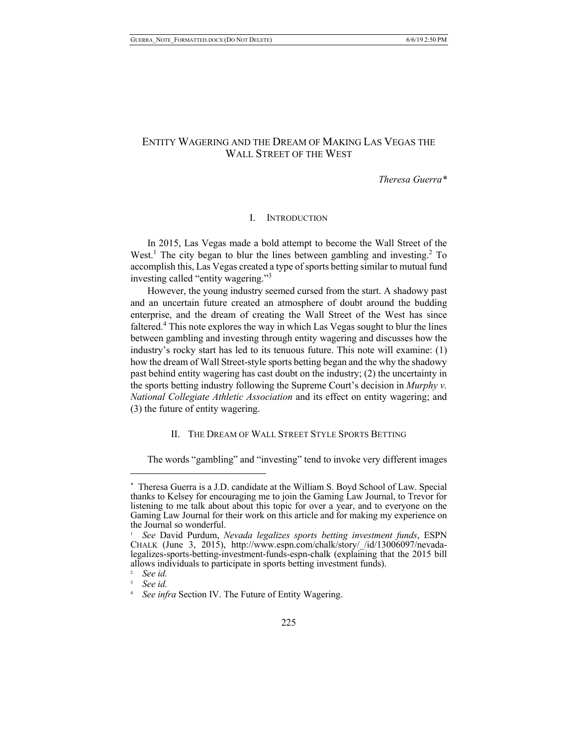# ENTITY WAGERING AND THE DREAM OF MAKING LAS VEGAS THE WALL STREET OF THE WEST

*Theresa Guerra\**

## I. INTRODUCTION

In 2015, Las Vegas made a bold attempt to become the Wall Street of the West.<sup>1</sup> The city began to blur the lines between gambling and investing.<sup>2</sup> To accomplish this, Las Vegas created a type of sports betting similar to mutual fund investing called "entity wagering."3

However, the young industry seemed cursed from the start. A shadowy past and an uncertain future created an atmosphere of doubt around the budding enterprise, and the dream of creating the Wall Street of the West has since faltered.<sup>4</sup> This note explores the way in which Las Vegas sought to blur the lines between gambling and investing through entity wagering and discusses how the industry's rocky start has led to its tenuous future. This note will examine: (1) how the dream of Wall Street-style sports betting began and the why the shadowy past behind entity wagering has cast doubt on the industry; (2) the uncertainty in the sports betting industry following the Supreme Court's decision in *Murphy v. National Collegiate Athletic Association* and its effect on entity wagering; and (3) the future of entity wagering.

# II. THE DREAM OF WALL STREET STYLE SPORTS BETTING

The words "gambling" and "investing" tend to invoke very different images

<sup>\*</sup> Theresa Guerra is a J.D. candidate at the William S. Boyd School of Law. Special thanks to Kelsey for encouraging me to join the Gaming Law Journal, to Trevor for listening to me talk about about this topic for over a year, and to everyone on the Gaming Law Journal for their work on this article and for making my experience on the Journal so wonderful.

<sup>1</sup> *See* David Purdum, *Nevada legalizes sports betting investment funds*, ESPN CHALK (June 3, 2015), http://www.espn.com/chalk/story/\_/id/13006097/nevada- legalizes-sports-betting-investment-funds-espn-chalk (explaining that the 2015 bill allows individuals to participate in sports betting investment funds).

<sup>2</sup> *See id.*

<sup>3</sup> *See id.*

See infra Section IV. The Future of Entity Wagering.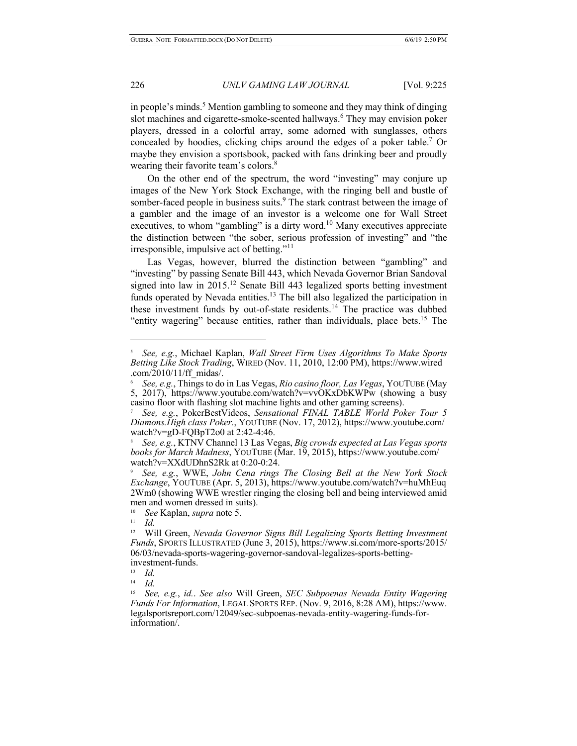in people's minds.<sup>5</sup> Mention gambling to someone and they may think of dinging slot machines and cigarette-smoke-scented hallways.<sup>6</sup> They may envision poker players, dressed in a colorful array, some adorned with sunglasses, others concealed by hoodies, clicking chips around the edges of a poker table.<sup>7</sup> Or maybe they envision a sportsbook, packed with fans drinking beer and proudly wearing their favorite team's colors.<sup>8</sup>

On the other end of the spectrum, the word "investing" may conjure up images of the New York Stock Exchange, with the ringing bell and bustle of somber-faced people in business suits.<sup>9</sup> The stark contrast between the image of a gambler and the image of an investor is a welcome one for Wall Street executives, to whom "gambling" is a dirty word.<sup>10</sup> Many executives appreciate the distinction between "the sober, serious profession of investing" and "the irresponsible, impulsive act of betting."<sup>11</sup>

Las Vegas, however, blurred the distinction between "gambling" and "investing" by passing Senate Bill 443, which Nevada Governor Brian Sandoval signed into law in  $2015$ .<sup>12</sup> Senate Bill 443 legalized sports betting investment funds operated by Nevada entities.<sup>13</sup> The bill also legalized the participation in these investment funds by out-of-state residents.<sup>14</sup> The practice was dubbed "entity wagering" because entities, rather than individuals, place bets.<sup>15</sup> The

<sup>5</sup> *See, e.g.*, Michael Kaplan, *Wall Street Firm Uses Algorithms To Make Sports Betting Like Stock Trading*, WIRED (Nov. 11, 2010, 12:00 PM), https://www.wired .com/2010/11/ff\_midas/.

<sup>6</sup> *See, e.g.*, Things to do in Las Vegas, *Rio casino floor, Las Vegas*, YOUTUBE (May 5, 2017), https://www.youtube.com/watch?v=vvOKxDbKWPw (showing a busy casino floor with flashing slot machine lights and other gaming screens).

<sup>7</sup> *See, e.g.*, PokerBestVideos, *Sensational FINAL TABLE World Poker Tour 5 Diamons.High class Poker.*, YOUTUBE (Nov. 17, 2012), https://www.youtube.com/ watch?v=gD-FQBpT2o0 at 2:42-4:46.

<sup>8</sup> *See, e.g.*, KTNV Channel 13 Las Vegas, *Big crowds expected at Las Vegas sports books for March Madness*, YOUTUBE (Mar. 19, 2015), https://www.youtube.com/ watch?v=XXdUDhnS2Rk at 0:20-0:24.

<sup>9</sup> *See, e.g.*, WWE, *John Cena rings The Closing Bell at the New York Stock Exchange*, YOUTUBE (Apr. 5, 2013), https://www.youtube.com/watch?v=huMhEuq 2Wm0 (showing WWE wrestler ringing the closing bell and being interviewed amid men and women dressed in suits).

<sup>10</sup> *See* Kaplan, *supra* note 5.

 $\frac{11}{12}$  *Id.* 

<sup>12</sup> Will Green, *Nevada Governor Signs Bill Legalizing Sports Betting Investment Funds*, SPORTS ILLUSTRATED (June 3, 2015), https://www.si.com/more-sports/2015/ 06/03/nevada-sports-wagering-governor-sandoval-legalizes-sports-betting- investment-funds.

<sup>13</sup> *Id.*

<sup>14</sup> *Id.*

<sup>15</sup> *See, e.g.*, *id.*. *See also* Will Green, *SEC Subpoenas Nevada Entity Wagering Funds For Information*, LEGAL SPORTS REP. (Nov. 9, 2016, 8:28 AM), https://www. legalsportsreport.com/12049/sec-subpoenas-nevada-entity-wagering-funds-for- information/.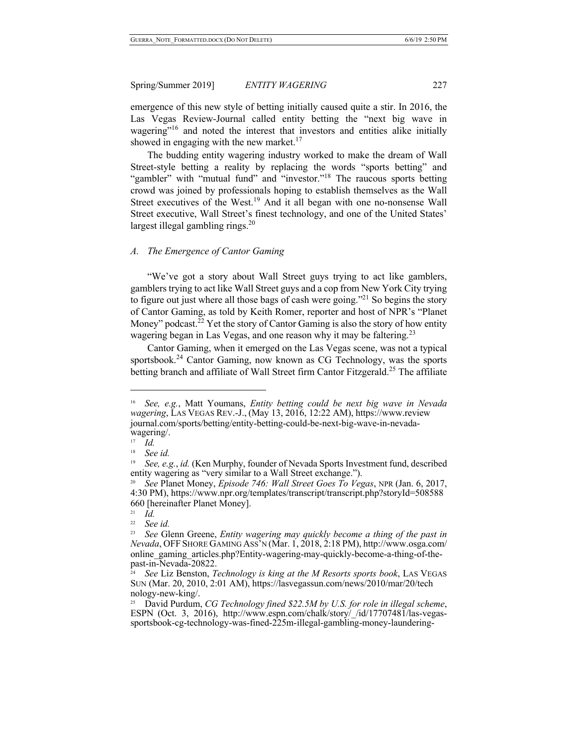emergence of this new style of betting initially caused quite a stir. In 2016, the Las Vegas Review-Journal called entity betting the "next big wave in wagering<sup>"16</sup> and noted the interest that investors and entities alike initially showed in engaging with the new market.<sup>17</sup>

The budding entity wagering industry worked to make the dream of Wall Street-style betting a reality by replacing the words "sports betting" and "gambler" with "mutual fund" and "investor."<sup>18</sup> The raucous sports betting crowd was joined by professionals hoping to establish themselves as the Wall Street executives of the West.<sup>19</sup> And it all began with one no-nonsense Wall Street executive, Wall Street's finest technology, and one of the United States' largest illegal gambling rings. $^{20}$ 

#### *A. The Emergence of Cantor Gaming*

"We've got a story about Wall Street guys trying to act like gamblers, gamblers trying to act like Wall Street guys and a cop from New York City trying to figure out just where all those bags of cash were going.<sup>"21</sup> So begins the story of Cantor Gaming, as told by Keith Romer, reporter and host of NPR's "Planet Money" podcast.<sup>22</sup> Yet the story of Cantor Gaming is also the story of how entity wagering began in Las Vegas, and one reason why it may be faltering.<sup>23</sup>

Cantor Gaming, when it emerged on the Las Vegas scene, was not a typical sportsbook.<sup>24</sup> Cantor Gaming, now known as CG Technology, was the sports betting branch and affiliate of Wall Street firm Cantor Fitzgerald.<sup>25</sup> The affiliate

<sup>16</sup> *See, e.g.*, Matt Youmans, *Entity betting could be next big wave in Nevada wagering*, LAS VEGAS REV.-J., (May 13, 2016, 12:22 AM), https://www.review journal.com/sports/betting/entity-betting-could-be-next-big-wave-in-nevada- wagering/.

<sup>17</sup> *Id.*

<sup>18</sup> *See id.*

<sup>19</sup> *See, e.g.*, *id.* (Ken Murphy, founder of Nevada Sports Investment fund, described entity wagering as "very similar to a Wall Street exchange.").

<sup>20</sup> *See* Planet Money, *Episode 746: Wall Street Goes To Vegas*, NPR (Jan. 6, 2017, 4:30 PM), https://www.npr.org/templates/transcript/transcript.php?storyId=508588 660 [hereinafter Planet Money].

 $\frac{21}{22}$  *Id.* 

<sup>&</sup>lt;sup>22</sup> *See id.*<br><sup>23</sup> *See G*1</sub>

<sup>23</sup> *See* Glenn Greene, *Entity wagering may quickly become a thing of the past in Nevada*, OFF SHORE GAMING ASS'N (Mar. 1, 2018, 2:18 PM), http://www.osga.com/ online\_gaming\_articles.php?Entity-wagering-may-quickly-become-a-thing-of-thepast-in-Nevada-20822.

<sup>24</sup> *See* Liz Benston, *Technology is king at the M Resorts sports book*, LAS VEGAS SUN (Mar. 20, 2010, 2:01 AM), https://lasvegassun.com/news/2010/mar/20/tech nology-new-king/.

<sup>&</sup>lt;sup>25</sup> David Purdum, *CG Technology fined \$22.5M by U.S. for role in illegal scheme,* ESPN (Oct. 3, 2016), http://www.espn.com/chalk/story/\_/id/17707481/las-vegassportsbook-cg-technology-was-fined-225m-illegal-gambling-mone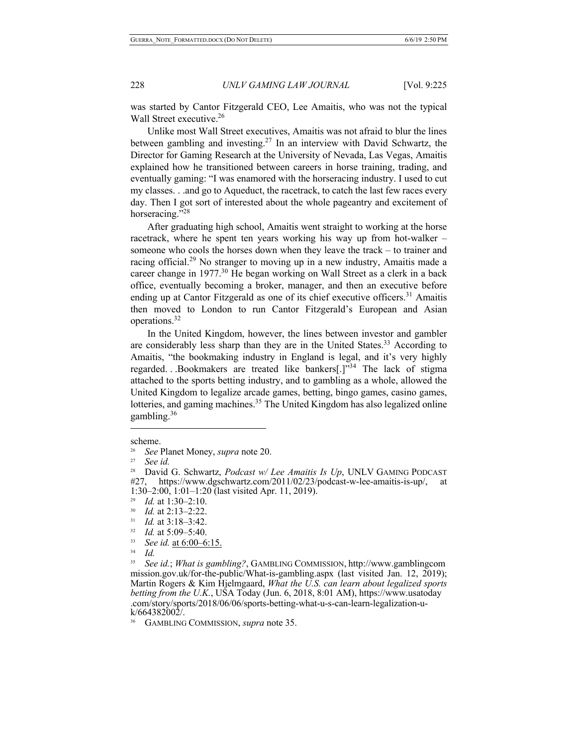was started by Cantor Fitzgerald CEO, Lee Amaitis, who was not the typical Wall Street executive.<sup>26</sup>

Unlike most Wall Street executives, Amaitis was not afraid to blur the lines between gambling and investing.<sup>27</sup> In an interview with David Schwartz, the Director for Gaming Research at the University of Nevada, Las Vegas, Amaitis explained how he transitioned between careers in horse training, trading, and eventually gaming: "I was enamored with the horseracing industry. I used to cut my classes. . .and go to Aqueduct, the racetrack, to catch the last few races every day. Then I got sort of interested about the whole pageantry and excitement of horseracing."<sup>28</sup>

After graduating high school, Amaitis went straight to working at the horse racetrack, where he spent ten years working his way up from hot-walker – someone who cools the horses down when they leave the track – to trainer and racing official.<sup>29</sup> No stranger to moving up in a new industry, Amaitis made a career change in  $1977<sup>30</sup>$  He began working on Wall Street as a clerk in a back office, eventually becoming a broker, manager, and then an executive before ending up at Cantor Fitzgerald as one of its chief executive officers.<sup>31</sup> Amaitis then moved to London to run Cantor Fitzgerald's European and Asian operations.32

In the United Kingdom, however, the lines between investor and gambler are considerably less sharp than they are in the United States.<sup>33</sup> According to Amaitis, "the bookmaking industry in England is legal, and it's very highly regarded. . .Bookmakers are treated like bankers[.]"34 The lack of stigma attached to the sports betting industry, and to gambling as a whole, allowed the United Kingdom to legalize arcade games, betting, bingo games, casino games, lotteries, and gaming machines.<sup>35</sup> The United Kingdom has also legalized online gambling.36

 $\overline{a}$ 

<sup>32</sup>*Id.* at 5:09–5:40. 33 *See id.* at 6:00–6:15.

scheme.<br> $\frac{26}{36}$ 

<sup>26</sup>*See* Planet Money, *supra* note 20. 27 *See id.* 

David G. Schwartz, *Podcast w/ Lee Amaitis Is Up*, UNLV GAMING PODCAST #27, https://www.dgschwartz.com/2011/02/23/podcast-w-lee-amaitis-is-up/, at 1:30–2:00, 1:01–1:20 (last visited Apr. 11, 2019).

<sup>29</sup> *Id.* at 1:30–2:10.

<sup>30</sup> *Id.* at 2:13–2:22.

<sup>31</sup> *Id.* at 3:18–3:42.

 $\frac{34}{35}$  *Id.* 

<sup>35</sup> *See id.*; *What is gambling?*, GAMBLING COMMISSION, http://www.gamblingcom mission.gov.uk/for-the-public/What-is-gambling.aspx (last visited Jan. 12, 2019); Martin Rogers & Kim Hjelmgaard, *What the U.S. can learn about legalized sports betting from the U.K.*, USA Today (Jun. 6, 2018, 8:01 AM), https://www.usatoday .com/story/sports/2018/06/06/sports-betting-what-u-s-can-learn-legalization-u- k/664382002/.

<sup>36</sup> GAMBLING COMMISSION, *supra* note 35.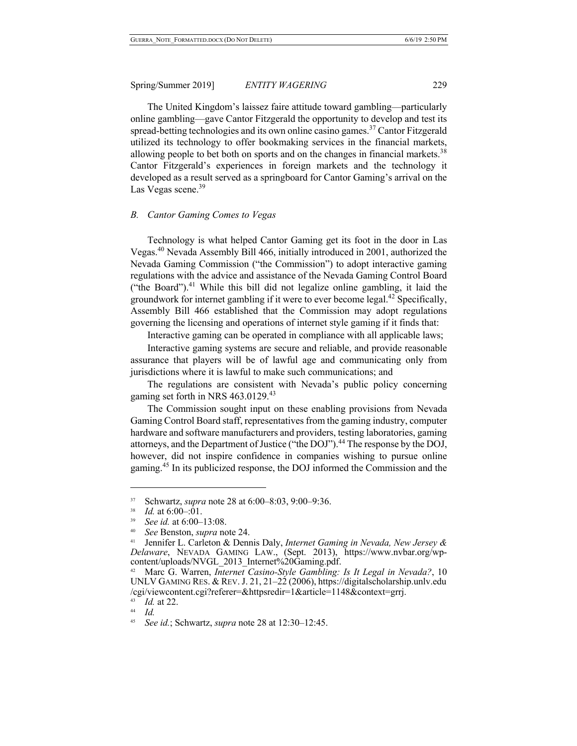The United Kingdom's laissez faire attitude toward gambling—particularly online gambling—gave Cantor Fitzgerald the opportunity to develop and test its spread-betting technologies and its own online casino games.<sup>37</sup> Cantor Fitzgerald utilized its technology to offer bookmaking services in the financial markets, allowing people to bet both on sports and on the changes in financial markets.<sup>38</sup> Cantor Fitzgerald's experiences in foreign markets and the technology it developed as a result served as a springboard for Cantor Gaming's arrival on the Las Vegas scene.<sup>39</sup>

## *B. Cantor Gaming Comes to Vegas*

Technology is what helped Cantor Gaming get its foot in the door in Las Vegas.<sup>40</sup> Nevada Assembly Bill 466, initially introduced in 2001, authorized the Nevada Gaming Commission ("the Commission") to adopt interactive gaming regulations with the advice and assistance of the Nevada Gaming Control Board ("the Board").<sup>41</sup> While this bill did not legalize online gambling, it laid the groundwork for internet gambling if it were to ever become legal.<sup>42</sup> Specifically, Assembly Bill 466 established that the Commission may adopt regulations governing the licensing and operations of internet style gaming if it finds that:

Interactive gaming can be operated in compliance with all applicable laws;

Interactive gaming systems are secure and reliable, and provide reasonable assurance that players will be of lawful age and communicating only from jurisdictions where it is lawful to make such communications; and

The regulations are consistent with Nevada's public policy concerning gaming set forth in NRS 463.0129.<sup>43</sup>

The Commission sought input on these enabling provisions from Nevada Gaming Control Board staff, representatives from the gaming industry, computer hardware and software manufacturers and providers, testing laboratories, gaming attorneys, and the Department of Justice ("the DOJ").<sup>44</sup> The response by the DOJ, however, did not inspire confidence in companies wishing to pursue online gaming.45 In its publicized response, the DOJ informed the Commission and the

<sup>&</sup>lt;sup>37</sup> Schwartz, *supra* note 28 at 6:00–8:03, 9:00–9:36.<br> *Id.* at 6:00–:01.<br>
<sup>39</sup> See id. at 6:00–13:08.<br>
<sup>40</sup> See Benston, *supra* note 24.<br>
<sup>41</sup> Jennifer L. Carleton & Dennis Daly, *Internet Gaming in Nevada, New Jersey Delaware*, NEVADA GAMING LAW., (Sept. 2013), https://www.nvbar.org/wp- content/uploads/NVGL\_2013\_Internet%20Gaming.pdf.

<sup>42</sup> Marc G. Warren, *Internet Casino-Style Gambling: Is It Legal in Nevada?*, 10 UNLV GAMING RES. & REV. J. 21, 21–22 (2006), https://digitalscholarship.unlv.edu /cgi/viewcontent.cgi?referer=&httpsredir=1&article=1148&context=grrj.

<sup>43</sup>*Id.* at 22. 44 *Id.*

<sup>45</sup> *See id.*; Schwartz, *supra* note 28 at 12:30–12:45.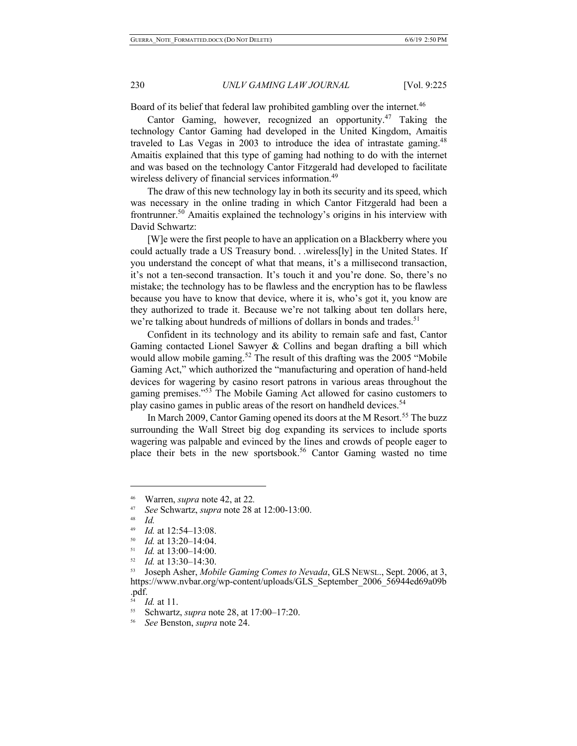Board of its belief that federal law prohibited gambling over the internet.<sup>46</sup>

Cantor Gaming, however, recognized an opportunity.<sup>47</sup> Taking the technology Cantor Gaming had developed in the United Kingdom, Amaitis traveled to Las Vegas in 2003 to introduce the idea of intrastate gaming.<sup>48</sup> Amaitis explained that this type of gaming had nothing to do with the internet and was based on the technology Cantor Fitzgerald had developed to facilitate wireless delivery of financial services information.<sup>49</sup>

The draw of this new technology lay in both its security and its speed, which was necessary in the online trading in which Cantor Fitzgerald had been a frontrunner.<sup>50</sup> Amaitis explained the technology's origins in his interview with David Schwartz:

[W]e were the first people to have an application on a Blackberry where you could actually trade a US Treasury bond. . .wireless[ly] in the United States. If you understand the concept of what that means, it's a millisecond transaction, it's not a ten-second transaction. It's touch it and you're done. So, there's no mistake; the technology has to be flawless and the encryption has to be flawless because you have to know that device, where it is, who's got it, you know are they authorized to trade it. Because we're not talking about ten dollars here, we're talking about hundreds of millions of dollars in bonds and trades.<sup>51</sup>

Confident in its technology and its ability to remain safe and fast, Cantor Gaming contacted Lionel Sawyer & Collins and began drafting a bill which would allow mobile gaming.<sup>52</sup> The result of this drafting was the 2005 "Mobile Gaming Act," which authorized the "manufacturing and operation of hand-held devices for wagering by casino resort patrons in various areas throughout the gaming premises."<sup>53</sup> The Mobile Gaming Act allowed for casino customers to play casino games in public areas of the resort on handheld devices.<sup>54</sup>

In March 2009, Cantor Gaming opened its doors at the M Resort.<sup>55</sup> The buzz surrounding the Wall Street big dog expanding its services to include sports wagering was palpable and evinced by the lines and crowds of people eager to place their bets in the new sportsbook.<sup>56</sup> Cantor Gaming wasted no time

<sup>46</sup> Warren, *supra* note 42, at 22*.*

<sup>47</sup> *See* Schwartz, *supra* note 28 at 12:00-13:00.

<sup>48</sup> *Id.*

<sup>&</sup>lt;sup>49</sup> *Id.* at 12:54–13:08.<br><sup>50</sup> *Id.* at 13:20–14:04.<br><sup>51</sup> *Id.* at 13:00, 14:00

*Id.* at 13:00–14:00.

<sup>52</sup> *Id.* at 13:30–14:30.

<sup>53</sup> Joseph Asher, *Mobile Gaming Comes to Nevada*, GLS NEWSL., Sept. 2006, at 3, https://www.nvbar.org/wp-content/uploads/GLS\_September\_2006\_56944ed69a09b .pdf.

 $\frac{54}{55}$  *Id.* at 11.

<sup>55</sup> Schwartz, *supra* note 28, at 17:00–17:20.

<sup>56</sup> *See* Benston, *supra* note 24.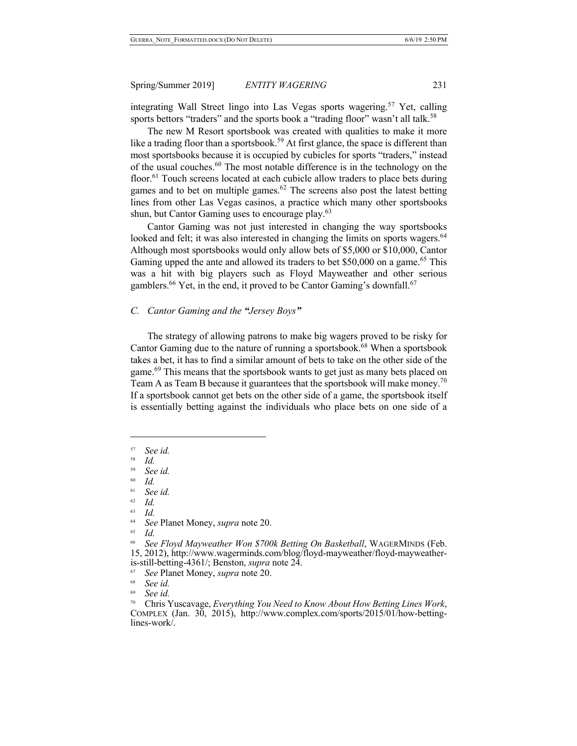integrating Wall Street lingo into Las Vegas sports wagering.<sup>57</sup> Yet, calling sports bettors "traders" and the sports book a "trading floor" wasn't all talk.<sup>58</sup>

The new M Resort sportsbook was created with qualities to make it more like a trading floor than a sportsbook.<sup>59</sup> At first glance, the space is different than most sportsbooks because it is occupied by cubicles for sports "traders," instead of the usual couches.<sup>60</sup> The most notable difference is in the technology on the floor.<sup>61</sup> Touch screens located at each cubicle allow traders to place bets during games and to bet on multiple games.<sup>62</sup> The screens also post the latest betting lines from other Las Vegas casinos, a practice which many other sportsbooks shun, but Cantor Gaming uses to encourage play.<sup>63</sup>

Cantor Gaming was not just interested in changing the way sportsbooks looked and felt; it was also interested in changing the limits on sports wagers.<sup>64</sup> Although most sportsbooks would only allow bets of \$5,000 or \$10,000, Cantor Gaming upped the ante and allowed its traders to bet \$50,000 on a game.<sup>65</sup> This was a hit with big players such as Floyd Mayweather and other serious gamblers.<sup>66</sup> Yet, in the end, it proved to be Cantor Gaming's downfall.<sup>67</sup>

## *C. Cantor Gaming and the "Jersey Boys"*

The strategy of allowing patrons to make big wagers proved to be risky for Cantor Gaming due to the nature of running a sportsbook.<sup>68</sup> When a sportsbook. takes a bet, it has to find a similar amount of bets to take on the other side of the game.<sup>69</sup> This means that the sportsbook wants to get just as many bets placed on Team A as Team B because it guarantees that the sportsbook will make money.<sup>70</sup> If a sportsbook cannot get bets on the other side of a game, the sportsbook itself is essentially betting against the individuals who place bets on one side of a

 $\overline{a}$ 

60 *Id.*

 $\frac{62}{63}$  *Id.* 

 $\frac{63}{64}$  *Id.* 

65 *Id.*

<sup>57</sup> *See id.*

 $\frac{58}{59}$  *Id.* 

<sup>59</sup> *See id.*

 $^{61}$  *See id.* 

<sup>&</sup>lt;sup>64</sup> *See* Planet Money, *supra* note 20.

<sup>66</sup> *See Floyd Mayweather Won \$700k Betting On Basketball*, WAGERMINDS (Feb. 15, 2012), http://www.wagerminds.com/blog/floyd-mayweather/floyd-mayweather- is-still-betting-4361/; Benston, *supra* note 24. 67 *See* Planet Money, *supra* note 20.

<sup>68</sup> *See id.*

<sup>69</sup> *See id.*

<sup>&</sup>lt;sup>70</sup> Chris Yuscavage, *Everything You Need to Know About How Betting Lines Work*, COMPLEX (Jan. 30, 2015), http://www.complex.com/sports/2015/01/how-betting-lines-work/.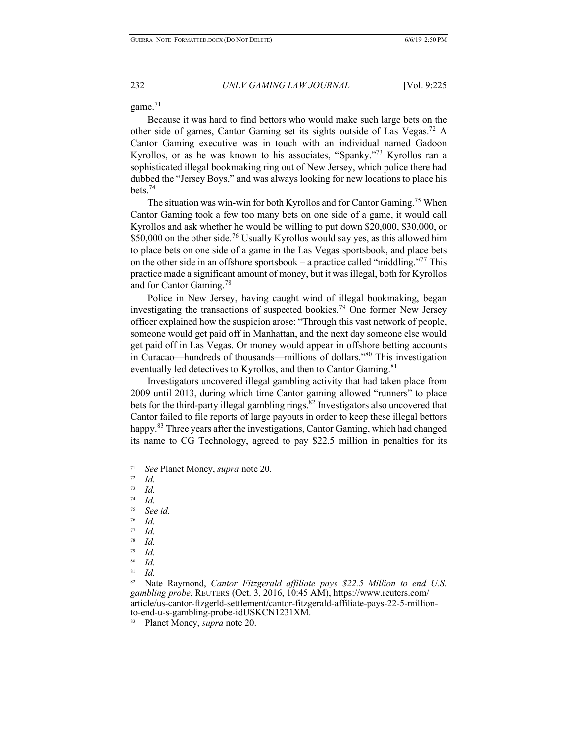game. $71$ 

Because it was hard to find bettors who would make such large bets on the other side of games, Cantor Gaming set its sights outside of Las Vegas.72 A Cantor Gaming executive was in touch with an individual named Gadoon Kyrollos, or as he was known to his associates, "Spanky."<sup>73</sup> Kyrollos ran a sophisticated illegal bookmaking ring out of New Jersey, which police there had dubbed the "Jersey Boys," and was always looking for new locations to place his bets.74

The situation was win-win for both Kyrollos and for Cantor Gaming.<sup>75</sup> When Cantor Gaming took a few too many bets on one side of a game, it would call Kyrollos and ask whether he would be willing to put down \$20,000, \$30,000, or \$50,000 on the other side.<sup>76</sup> Usually Kyrollos would say yes, as this allowed him to place bets on one side of a game in the Las Vegas sportsbook, and place bets on the other side in an offshore sportsbook – a practice called "middling."<sup>77</sup> This practice made a significant amount of money, but it was illegal, both for Kyrollos and for Cantor Gaming.<sup>78</sup>

Police in New Jersey, having caught wind of illegal bookmaking, began investigating the transactions of suspected bookies.79 One former New Jersey officer explained how the suspicion arose: "Through this vast network of people, someone would get paid off in Manhattan, and the next day someone else would get paid off in Las Vegas. Or money would appear in offshore betting accounts in Curacao—hundreds of thousands—millions of dollars."80 This investigation eventually led detectives to Kyrollos, and then to Cantor Gaming.<sup>81</sup>

Investigators uncovered illegal gambling activity that had taken place from 2009 until 2013, during which time Cantor gaming allowed "runners" to place bets for the third-party illegal gambling rings.<sup>82</sup> Investigators also uncovered that Cantor failed to file reports of large payouts in order to keep these illegal bettors happy.<sup>83</sup> Three years after the investigations, Cantor Gaming, which had changed its name to CG Technology, agreed to pay \$22.5 million in penalties for its

- $\frac{74}{75}$  *Id.* See *id.*
- 76 *Id.*
- 
- $\frac{77}{78}$  *Id. Id.*
- <sup>79</sup> *Id.*
- 
- $rac{80}{81}$  *Id.* <sup>81</sup> *Id.*

<sup>71</sup> *See* Planet Money, *supra* note 20.

 $\frac{72}{73}$  *Id.* 

 $\frac{73}{74}$  *Id.* 

<sup>&</sup>lt;sup>82</sup> Nate Raymond, *Cantor Fitzgerald affiliate pays \$22.5 Million to end U.S. gambling probe*, REUTERS (Oct. 3, 2016, 10:45 AM), https://www.reuters.com/ article/us-cantor-ftzgerld-settlement/cantor-fitzgerald-affiliate-pays-22-5-million- to-end-u-s-gambling-probe-idUSKCN1231XM.

<sup>83</sup> Planet Money, *supra* note 20.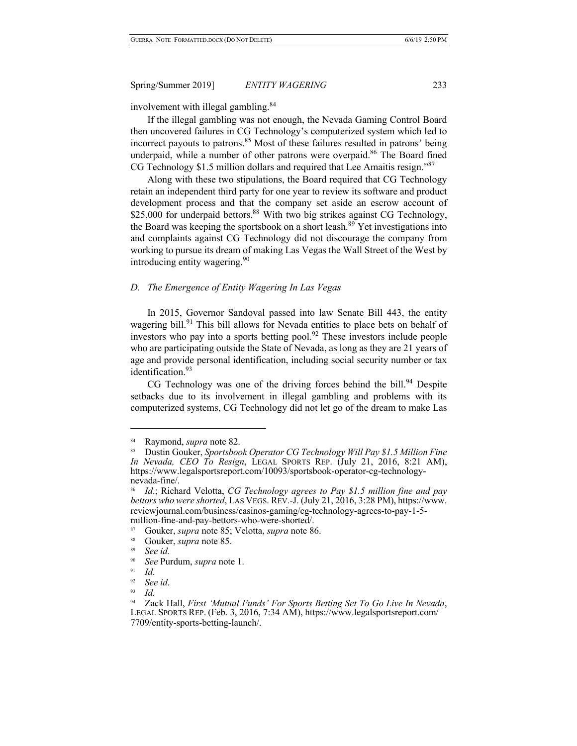involvement with illegal gambling.<sup>84</sup>

If the illegal gambling was not enough, the Nevada Gaming Control Board then uncovered failures in CG Technology's computerized system which led to incorrect payouts to patrons.<sup>85</sup> Most of these failures resulted in patrons' being underpaid, while a number of other patrons were overpaid.<sup>86</sup> The Board fined CG Technology \$1.5 million dollars and required that Lee Amaitis resign."<sup>87</sup>

Along with these two stipulations, the Board required that CG Technology retain an independent third party for one year to review its software and product development process and that the company set aside an escrow account of \$25,000 for underpaid bettors.<sup>88</sup> With two big strikes against CG Technology, the Board was keeping the sportsbook on a short leash.<sup>89</sup> Yet investigations into and complaints against CG Technology did not discourage the company from working to pursue its dream of making Las Vegas the Wall Street of the West by introducing entity wagering.<sup>90</sup>

#### *D. The Emergence of Entity Wagering In Las Vegas*

In 2015, Governor Sandoval passed into law Senate Bill 443, the entity wagering bill.<sup>91</sup> This bill allows for Nevada entities to place bets on behalf of investors who pay into a sports betting pool.<sup>92</sup> These investors include people who are participating outside the State of Nevada, as long as they are 21 years of age and provide personal identification, including social security number or tax identification.<sup>93</sup>

CG Technology was one of the driving forces behind the bill.<sup>94</sup> Despite setbacks due to its involvement in illegal gambling and problems with its computerized systems, CG Technology did not let go of the dream to make Las

<sup>84</sup> Raymond, *supra* note 82.

<sup>85</sup> Dustin Gouker, *Sportsbook Operator CG Technology Will Pay \$1.5 Million Fine In Nevada, CEO To Resign*, LEGAL SPORTS REP. (July 21, 2016, 8:21 AM), https://www.legalsportsreport.com/10093/sportsbook-operator-cg-technologynevada-fine/.

<sup>86</sup> *Id*.; Richard Velotta, *CG Technology agrees to Pay \$1.5 million fine and pay bettors who were shorted*, LAS VEGS. REV.-J. (July 21, 2016, 3:28 PM), https://www. reviewjournal.com/business/casinos-gaming/cg-technology-agrees-to-pay-1-5 million-fine-and-pay-bettors-who-were-shorted/.

<sup>87</sup> Gouker, *supra* note 85; Velotta, *supra* note 86.

<sup>&</sup>lt;sup>88</sup> Gouker, *supra* note 85.

<sup>89</sup> *See id.*

<sup>90</sup>*See* Purdum, *supra* note 1. 91 *Id*.

<sup>92</sup> *See id*.

<sup>&</sup>lt;sup>93</sup> *Id.*<br><sup>94</sup> Zack Hall, *First 'Mutual Funds' For Sports Betting Set To Go Live In Nevada,* LEGAL SPORTS REP. (Feb. 3, 2016, 7:34 AM), https://www.legalsportsreport.com/ 7709/entity-sports-betting-launch/.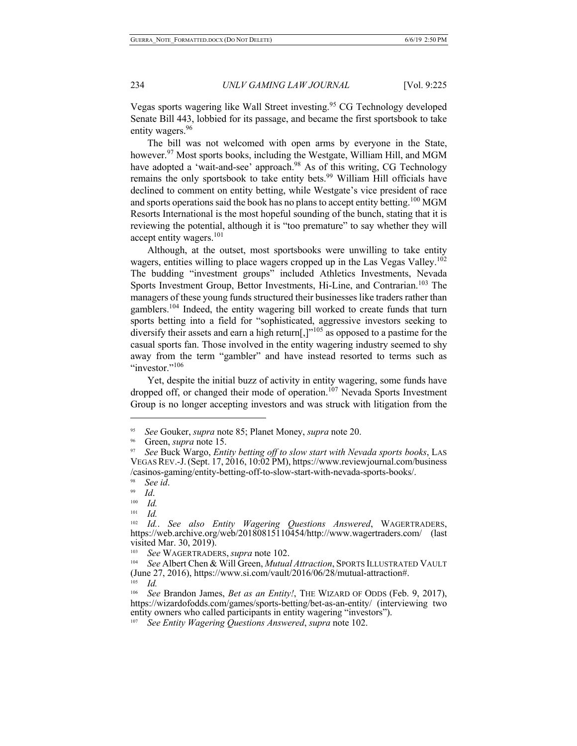Vegas sports wagering like Wall Street investing.<sup>95</sup> CG Technology developed Senate Bill 443, lobbied for its passage, and became the first sportsbook to take entity wagers.<sup>96</sup>

The bill was not welcomed with open arms by everyone in the State, however.<sup>97</sup> Most sports books, including the Westgate, William Hill, and MGM have adopted a 'wait-and-see' approach.<sup>98</sup> As of this writing, CG Technology remains the only sportsbook to take entity bets.<sup>99</sup> William Hill officials have declined to comment on entity betting, while Westgate's vice president of race and sports operations said the book has no plans to accept entity betting.<sup>100</sup> MGM Resorts International is the most hopeful sounding of the bunch, stating that it is reviewing the potential, although it is "too premature" to say whether they will accept entity wagers.<sup>101</sup>

Although, at the outset, most sportsbooks were unwilling to take entity wagers, entities willing to place wagers cropped up in the Las Vegas Valley.<sup>102</sup> The budding "investment groups" included Athletics Investments, Nevada Sports Investment Group, Bettor Investments, Hi-Line, and Contrarian.<sup>103</sup> The managers of these young funds structured their businesses like traders rather than gamblers.<sup>104</sup> Indeed, the entity wagering bill worked to create funds that turn sports betting into a field for "sophisticated, aggressive investors seeking to diversify their assets and earn a high return[,]"<sup>105</sup> as opposed to a pastime for the casual sports fan. Those involved in the entity wagering industry seemed to shy away from the term "gambler" and have instead resorted to terms such as "investor." $106$ 

Yet, despite the initial buzz of activity in entity wagering, some funds have dropped off, or changed their mode of operation.<sup>107</sup> Nevada Sports Investment Group is no longer accepting investors and was struck with litigation from the

<sup>95</sup> *See* Gouker, *supra* note 85; Planet Money, *supra* note 20.

<sup>&</sup>lt;sup>96</sup> Green, *supra* note 15.<br><sup>97</sup> *See Buck Wargo, Entity betting off to slow start with Nevada sports books*, LAS VEGAS REV.-J.(Sept. 17, 2016, 10:02 PM), https://www.reviewjournal.com/business /casinos-gaming/entity-betting-off-to-slow-start-with-nevada-sports-books/.

<sup>98</sup>*See id*. 99 *Id*.

 $\frac{100}{101}$  *Id.* 

 $\frac{101}{102}$  *Id.* 

<sup>102</sup>*Id.*. *See also Entity Wagering Questions Answered*, WAGERTRADERS, https://web.archive.org/web/20180815110454/http://www.wagertraders.com/ (last visited Mar. 30, 2019).

<sup>103</sup> *See* WAGERTRADERS, *supra* note 102.

<sup>104</sup> *See* Albert Chen & Will Green, *Mutual Attraction*, SPORTS ILLUSTRATED VAULT (June 27, 2016), https://www.si.com/vault/2016/06/28/mutual-attraction#. 105 *Id.*

<sup>106</sup> *See* Brandon James, *Bet as an Entity!*, THE WIZARD OF ODDS (Feb. 9, 2017), https://wizardofodds.com/games/sports-betting/bet-as-an-entity/ (interviewing two entity owners who called participants in entity wagering "investors").

<sup>107</sup> *See Entity Wagering Questions Answered*, *supra* note 102.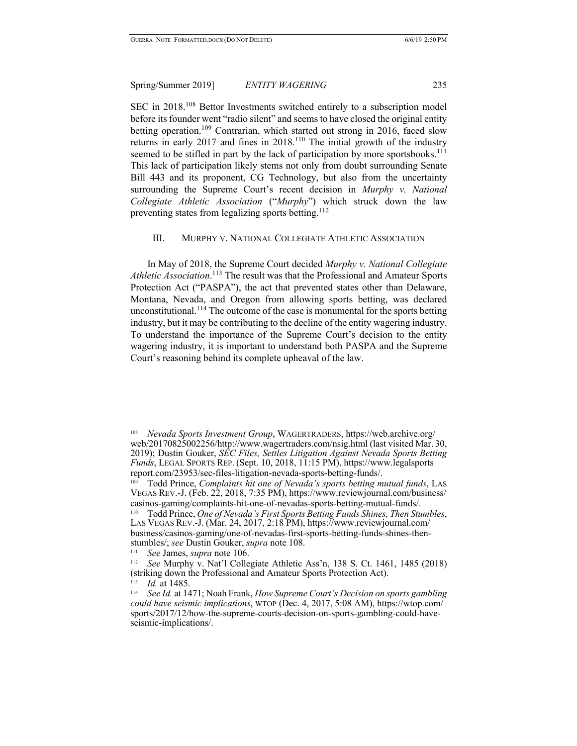SEC in 2018.<sup>108</sup> Bettor Investments switched entirely to a subscription model before its founder went "radio silent" and seems to have closed the original entity betting operation.<sup>109</sup> Contrarian, which started out strong in 2016, faced slow returns in early 2017 and fines in  $2018$ .<sup>110</sup> The initial growth of the industry seemed to be stifled in part by the lack of participation by more sportsbooks.<sup>111</sup> This lack of participation likely stems not only from doubt surrounding Senate Bill 443 and its proponent, CG Technology, but also from the uncertainty surrounding the Supreme Court's recent decision in *Murphy v. National Collegiate Athletic Association* ("*Murphy*") which struck down the law preventing states from legalizing sports betting.<sup>112</sup>

# III. MURPHY V. NATIONAL COLLEGIATE ATHLETIC ASSOCIATION

In May of 2018, the Supreme Court decided *Murphy v. National Collegiate Athletic Association*. <sup>113</sup> The result was that the Professional and Amateur Sports Protection Act ("PASPA"), the act that prevented states other than Delaware, Montana, Nevada, and Oregon from allowing sports betting, was declared unconstitutional.<sup>114</sup> The outcome of the case is monumental for the sports betting industry, but it may be contributing to the decline of the entity wagering industry. To understand the importance of the Supreme Court's decision to the entity wagering industry, it is important to understand both PASPA and the Supreme Court's reasoning behind its complete upheaval of the law.

<sup>108</sup> *Nevada Sports Investment Group*, WAGERTRADERS, https://web.archive.org/ web/20170825002256/http://www.wagertraders.com/nsig.html (last visited Mar. 30, 2019); Dustin Gouker, *SEC Files, Settles Litigation Against Nevada Sports Betting Funds*, LEGAL SPORTS REP. (Sept. 10, 2018, 11:15 PM), https://www.legalsports report.com/23953/sec-files-litigation-nevada-sports-betting-funds/.

<sup>109</sup> Todd Prince, *Complaints hit one of Nevada's sports betting mutual funds*, LAS VEGAS REV.-J. (Feb. 22, 2018, 7:35 PM), https://www.reviewjournal.com/business/ casinos-gaming/complaints-hit-one-of-nevadas-sports-betting-mutual-funds/.<br><sup>110</sup> Todd Prince *One of Nevada's First Sports Betting Funds Shines Then Stu* 

<sup>110</sup> Todd Prince, *One of Nevada's First Sports Betting Funds Shines, Then Stumbles*, LAS VEGAS REV.-J. (Mar. 24, 2017, 2:18 PM), https://www.reviewjournal.com/ business/casinos-gaming/one-of-nevadas-first-sports-betting-funds-shines-then- stumbles/; *see* Dustin Gouker, *supra* note 108.

<sup>&</sup>lt;sup>111</sup> *See James, supra* note 106.<br><sup>112</sup> *See Murphy y* Nat'l Colle

<sup>112</sup> *See* Murphy v. Nat'l Collegiate Athletic Ass'n, 138 S. Ct. 1461, 1485 (2018) (striking down the Professional and Amateur Sports Protection Act).

<sup>113</sup> *Id.* at 1485.

<sup>114</sup> *See Id.* at 1471; Noah Frank, *How Supreme Court's Decision on sports gambling could have seismic implications*, WTOP (Dec. 4, 2017, 5:08 AM), https://wtop.com/ sports/2017/12/how-the-supreme-courts-decision-on-sports-gambling-could-have- seismic-implications/.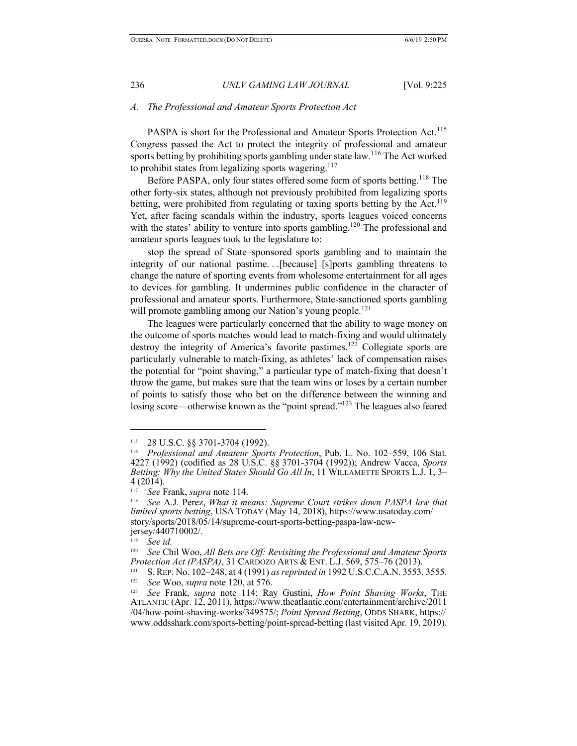## *A. The Professional and Amateur Sports Protection Act*

PASPA is short for the Professional and Amateur Sports Protection Act.<sup>115</sup> Congress passed the Act to protect the integrity of professional and amateur sports betting by prohibiting sports gambling under state law.<sup>116</sup> The Act worked to prohibit states from legalizing sports wagering.<sup>117</sup>

Before PASPA, only four states offered some form of sports betting.<sup>118</sup> The other forty-six states, although not previously prohibited from legalizing sports betting, were prohibited from regulating or taxing sports betting by the Act.<sup>119</sup> Yet, after facing scandals within the industry, sports leagues voiced concerns with the states' ability to venture into sports gambling.<sup>120</sup> The professional and amateur sports leagues took to the legislature to:

stop the spread of State–sponsored sports gambling and to maintain the integrity of our national pastime. . .[because] [s]ports gambling threatens to change the nature of sporting events from wholesome entertainment for all ages to devices for gambling. It undermines public confidence in the character of professional and amateur sports. Furthermore, State-sanctioned sports gambling will promote gambling among our Nation's young people.<sup>121</sup>

The leagues were particularly concerned that the ability to wage money on the outcome of sports matches would lead to match-fixing and would ultimately destroy the integrity of America's favorite pastimes.<sup>122</sup> Collegiate sports are particularly vulnerable to match-fixing, as athletes' lack of compensation raises the potential for "point shaving," a particular type of match-fixing that doesn't throw the game, but makes sure that the team wins or loses by a certain number of points to satisfy those who bet on the difference between the winning and losing score—otherwise known as the "point spread."<sup>123</sup> The leagues also feared

<sup>115 28</sup> U.S.C. §§ 3701-3704 (1992). 116 *Professional and Amateur Sports Protection*, Pub. L. No. 102–559, 106 Stat. 4227 (1992) (codified as 28 U.S.C. §§ 3701-3704 (1992)); Andrew Vacca, *Sports Betting: Why the United States Should Go All In*, 11 WILLAMETTE SPORTS L.J. 1, 3–<br>4 (2014).<br><sup>117</sup> See Frank, supported 114

<sup>&</sup>lt;sup>117</sup> See Frank, *supra* note 114.<br><sup>118</sup> See A.J. Perez, *What it means: Supreme Court strikes down PASPA law that limited sports betting*, USA TODAY (May 14, 2018), https://www.usatoday.com/ story/sports/2018/05/14/supreme-court-sports-betting-paspa-law-new- jersey/440710002/.

<sup>119</sup> *See id.* 

<sup>120</sup> *See* Chil Woo, *All Bets are Off: Revisiting the Professional and Amateur Sports Protection Act (PASPA)*, 31 CARDOZO ARTS & ENT. L.J. 569, 575–76 (2013).

<sup>121</sup> S.REP. No. 102–248, at 4 (1991) *as reprinted in* 1992 U.S.C.C.A.N. 3553, 3555. 122 *See* Woo, *supra* note 120, at 576.

<sup>123</sup> *See* Frank, *supra* note 114; Ray Gustini, *How Point Shaving Works*, THE ATLANTIC (Apr. 12, 2011), https://www.theatlantic.com/entertainment/archive/2011 /04/how-point-shaving-works/349575/; *Point Spread Betting*, ODDS SHARK, https:// www.oddsshark.com/sports-betting/point-spread-betting (last visited Apr. 19, 2019).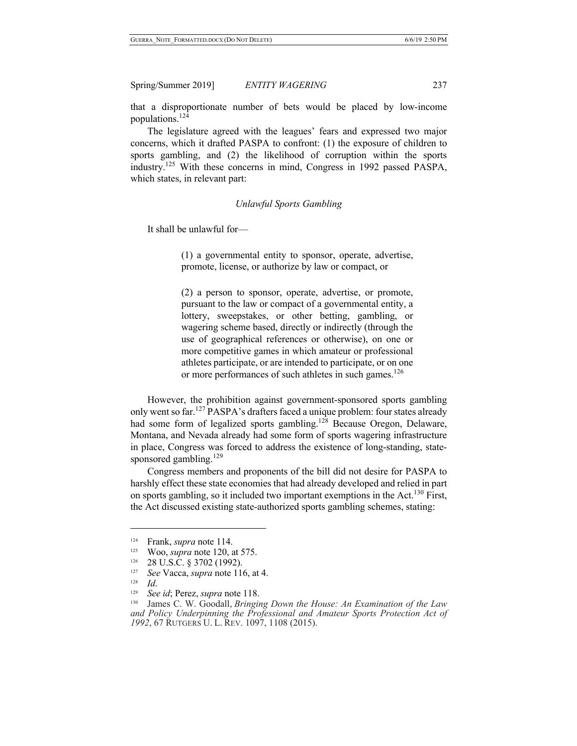that a disproportionate number of bets would be placed by low-income populations.124

The legislature agreed with the leagues' fears and expressed two major concerns, which it drafted PASPA to confront: (1) the exposure of children to sports gambling, and (2) the likelihood of corruption within the sports industry.<sup>125</sup> With these concerns in mind, Congress in 1992 passed PASPA, which states, in relevant part:

#### *Unlawful Sports Gambling*

It shall be unlawful for—

(1) a governmental entity to sponsor, operate, advertise, promote, license, or authorize by law or compact, or

(2) a person to sponsor, operate, advertise, or promote, pursuant to the law or compact of a governmental entity, a lottery, sweepstakes, or other betting, gambling, or wagering scheme based, directly or indirectly (through the use of geographical references or otherwise), on one or more competitive games in which amateur or professional athletes participate, or are intended to participate, or on one or more performances of such athletes in such games.<sup>126</sup>

However, the prohibition against government-sponsored sports gambling only went so far.<sup>127</sup> PASPA's drafters faced a unique problem: four states already had some form of legalized sports gambling.<sup>128</sup> Because Oregon, Delaware, Montana, and Nevada already had some form of sports wagering infrastructure in place, Congress was forced to address the existence of long-standing, statesponsored gambling. $129$ 

Congress members and proponents of the bill did not desire for PASPA to harshly effect these state economies that had already developed and relied in part on sports gambling, so it included two important exemptions in the Act.<sup>130</sup> First, the Act discussed existing state-authorized sports gambling schemes, stating:

128 *Id*.

<sup>124</sup> Frank, *supra* note 114.

<sup>125</sup> Woo, *supra* note 120, at 575.

<sup>126 28</sup> U.S.C. § 3702 (1992).

<sup>127</sup> *See* Vacca, *supra* note 116, at 4.

<sup>129</sup> *See id*; Perez, *supra* note 118.

<sup>130</sup> James C. W. Goodall, *Bringing Down the House: An Examination of the Law and Policy Underpinning the Professional and Amateur Sports Protection Act of 1992*, 67 RUTGERS U. L. REV. 1097, 1108 (2015).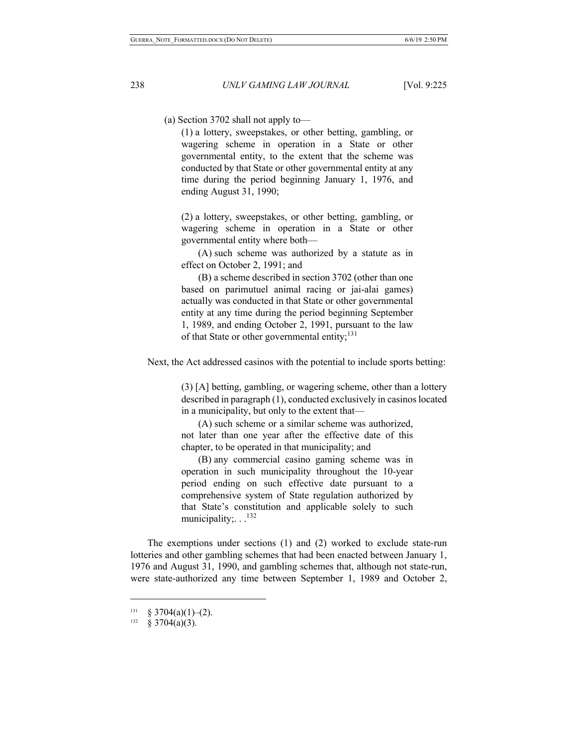(a) Section 3702 shall not apply to—

(1) a lottery, sweepstakes, or other betting, gambling, or wagering scheme in operation in a State or other governmental entity, to the extent that the scheme was conducted by that State or other governmental entity at any time during the period beginning January 1, 1976, and ending August 31, 1990;

(2) a lottery, sweepstakes, or other betting, gambling, or wagering scheme in operation in a State or other governmental entity where both—

(A) such scheme was authorized by a statute as in effect on October 2, 1991; and

(B) a scheme described in section 3702 (other than one based on parimutuel animal racing or jai-alai games) actually was conducted in that State or other governmental entity at any time during the period beginning September 1, 1989, and ending October 2, 1991, pursuant to the law of that State or other governmental entity; $^{131}$ 

Next, the Act addressed casinos with the potential to include sports betting:

(3) [A] betting, gambling, or wagering scheme, other than a lottery described in paragraph (1), conducted exclusively in casinos located in a municipality, but only to the extent that—

(A) such scheme or a similar scheme was authorized, not later than one year after the effective date of this chapter, to be operated in that municipality; and

(B) any commercial casino gaming scheme was in operation in such municipality throughout the 10-year period ending on such effective date pursuant to a comprehensive system of State regulation authorized by that State's constitution and applicable solely to such municipality; . .<sup>132</sup>

The exemptions under sections (1) and (2) worked to exclude state-run lotteries and other gambling schemes that had been enacted between January 1, 1976 and August 31, 1990, and gambling schemes that, although not state-run, were state-authorized any time between September 1, 1989 and October 2,

<sup>&</sup>lt;sup>131</sup> § 3704(a)(1)–(2).<br><sup>132</sup> § 3704(a)(3).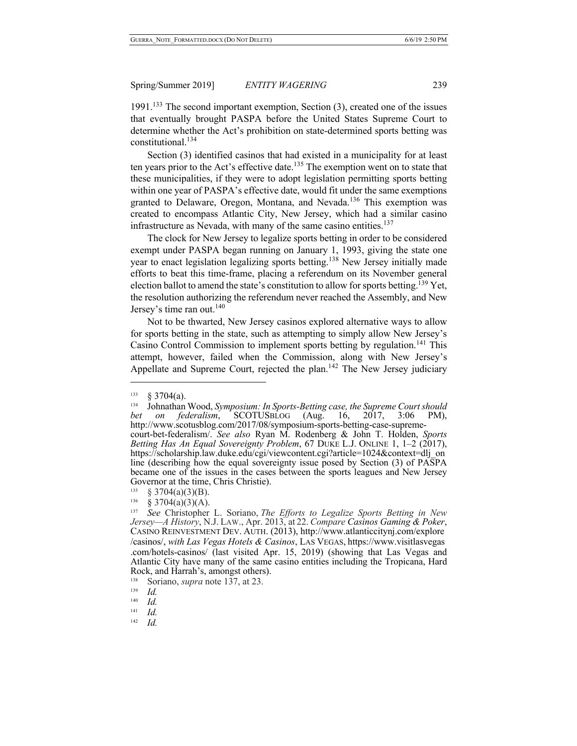1991.<sup>133</sup> The second important exemption, Section  $(3)$ , created one of the issues that eventually brought PASPA before the United States Supreme Court to determine whether the Act's prohibition on state-determined sports betting was constitutional.134

Section (3) identified casinos that had existed in a municipality for at least ten years prior to the Act's effective date.<sup>135</sup> The exemption went on to state that these municipalities, if they were to adopt legislation permitting sports betting within one year of PASPA's effective date, would fit under the same exemptions granted to Delaware, Oregon, Montana, and Nevada.<sup>136</sup> This exemption was created to encompass Atlantic City, New Jersey, which had a similar casino infrastructure as Nevada, with many of the same casino entities.<sup>137</sup>

The clock for New Jersey to legalize sports betting in order to be considered exempt under PASPA began running on January 1, 1993, giving the state one year to enact legislation legalizing sports betting.<sup>138</sup> New Jersey initially made efforts to beat this time-frame, placing a referendum on its November general election ballot to amend the state's constitution to allow for sports betting.<sup>139</sup> Yet, the resolution authorizing the referendum never reached the Assembly, and New Jersey's time ran out.<sup>140</sup>

Not to be thwarted, New Jersey casinos explored alternative ways to allow for sports betting in the state, such as attempting to simply allow New Jersey's Casino Control Commission to implement sports betting by regulation.<sup>141</sup> This attempt, however, failed when the Commission, along with New Jersey's Appellate and Supreme Court, rejected the plan.<sup>142</sup> The New Jersey judiciary

 $\overline{\phantom{a}}$ 

142 *Id.*

 $\frac{133}{134}$  § 3704(a).

<sup>134</sup> Johnathan Wood, *Symposium: In Sports-Betting case, the Supreme Court should bet on federalism*, SCOTUSBLOG (Aug. 16, 2017, 3:06 PM), http://www.scotusblog.com/2017/08/symposium-sports-betting-case-supremecourt-bet-federalism/. *See also* Ryan M. Rodenberg & John T. Holden, *Sports* 

*Betting Has An Equal Sovereignty Problem*, 67 DUKE L.J. ONLINE 1, 1–2 (2017), https://scholarship.law.duke.edu/cgi/viewcontent.cgi?article=1024&context=dlj\_on line (describing how the equal sovereignty issue posed by Section (3) of PASPA became one of the issues in the cases between the sports leagues and New Jersey Governor at the time, Chris Christie).<br>  $\frac{135}{8}$  § 3704(a)(3)(B).<br>  $\frac{136}{8}$   $\frac{83704}{82704}$ (a)(4)(A)

 $\frac{136}{137}$  § 3704(a)(3)(A).

<sup>137</sup> *See* Christopher L. Soriano, *The Efforts to Legalize Sports Betting in New Jersey—A History*, N.J. LAW., Apr. 2013, at 22. *Compare Casinos Gaming & Poker*, CASINO REINVESTMENT DEV. AUTH. (2013), http://www.atlanticcitynj.com/explore /casinos/, *with Las Vegas Hotels & Casinos*, LAS VEGAS, https://www.visitlasvegas .com/hotels-casinos/ (last visited Apr. 15, 2019) (showing that Las Vegas and Atlantic City have many of the same casino entities including the Tropicana, Hard Rock, and Harrah's, amongst others).<br><sup>138</sup> Soriano, *supra* note 137, at 23.

 $\frac{139}{140}$  *Id.* 

 $\frac{140}{141}$  *Id.* 

 $Id$ .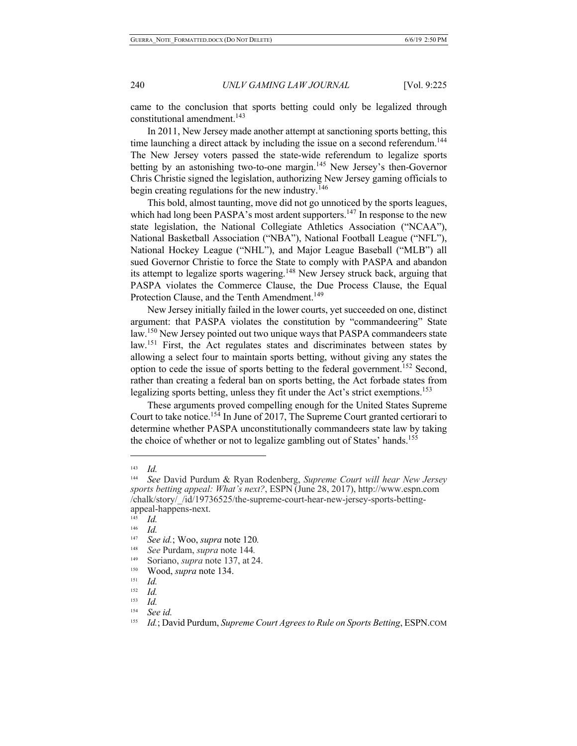came to the conclusion that sports betting could only be legalized through constitutional amendment.<sup>143</sup>

In 2011, New Jersey made another attempt at sanctioning sports betting, this time launching a direct attack by including the issue on a second referendum.<sup>144</sup> The New Jersey voters passed the state-wide referendum to legalize sports betting by an astonishing two-to-one margin.<sup>145</sup> New Jersey's then-Governor Chris Christie signed the legislation, authorizing New Jersey gaming officials to begin creating regulations for the new industry.<sup>146</sup>

This bold, almost taunting, move did not go unnoticed by the sports leagues, which had long been PASPA's most ardent supporters.<sup>147</sup> In response to the new state legislation, the National Collegiate Athletics Association ("NCAA"), National Basketball Association ("NBA"), National Football League ("NFL"), National Hockey League ("NHL"), and Major League Baseball ("MLB") all sued Governor Christie to force the State to comply with PASPA and abandon its attempt to legalize sports wagering.<sup>148</sup> New Jersey struck back, arguing that PASPA violates the Commerce Clause, the Due Process Clause, the Equal Protection Clause, and the Tenth Amendment.<sup>149</sup>

New Jersey initially failed in the lower courts, yet succeeded on one, distinct argument: that PASPA violates the constitution by "commandeering" State law.<sup>150</sup> New Jersey pointed out two unique ways that PASPA commandeers state law.<sup>151</sup> First, the Act regulates states and discriminates between states by allowing a select four to maintain sports betting, without giving any states the option to cede the issue of sports betting to the federal government.152 Second, rather than creating a federal ban on sports betting, the Act forbade states from legalizing sports betting, unless they fit under the Act's strict exemptions.<sup>153</sup>

These arguments proved compelling enough for the United States Supreme Court to take notice.<sup>154</sup> In June of 2017, The Supreme Court granted certiorari to determine whether PASPA unconstitutionally commandeers state law by taking the choice of whether or not to legalize gambling out of States' hands.<sup>155</sup>

 $\frac{143}{144}$  *Id.* 

<sup>144</sup> *See* David Purdum & Ryan Rodenberg, *Supreme Court will hear New Jersey sports betting appeal: What's next?*, ESPN (June 28, 2017), http://www.espn.com /chalk/story/\_/id/19736525/the-supreme-court-hear-new-jersey-sports-bettingappeal-happens-next.

 $\frac{145}{146}$  *Id.* 

 $\frac{146}{147}$  *Id.* 

<sup>147</sup> *See id.*; Woo, *supra* note 120*.*

<sup>148</sup> *See* Purdam, *supra* note 144*.*

<sup>149</sup> Soriano, *supra* note 137, at 24.

<sup>&</sup>lt;sup>150</sup> Wood, *supra* note 134.

 $\frac{151}{152}$  *Id.* 

 $\frac{152}{153}$  *Id.* 

 $\frac{153}{154}$  *Id.* 

<sup>154</sup> *See id.*

<sup>155</sup> *Id.*; David Purdum, *Supreme Court Agrees to Rule on Sports Betting*, ESPN.COM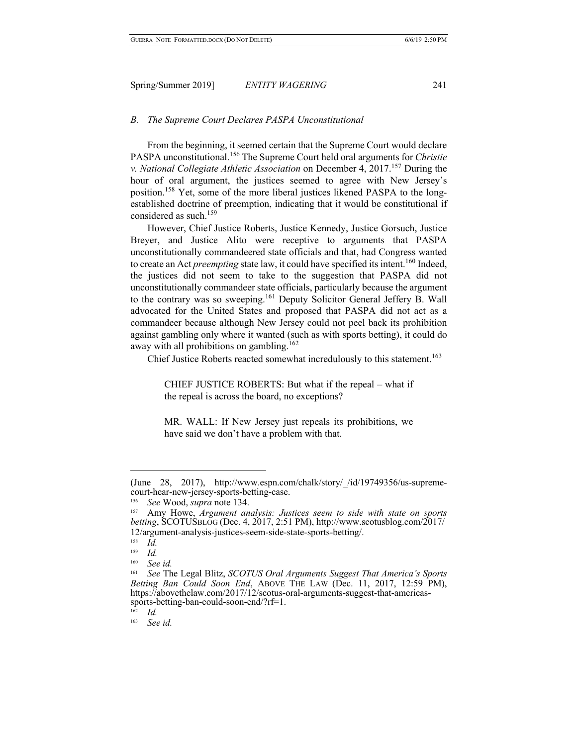# *B. The Supreme Court Declares PASPA Unconstitutional*

From the beginning, it seemed certain that the Supreme Court would declare PASPA unconstitutional.<sup>156</sup> The Supreme Court held oral arguments for *Christie v. National Collegiate Athletic Association* on December 4, 2017.157 During the hour of oral argument, the justices seemed to agree with New Jersey's position.158 Yet, some of the more liberal justices likened PASPA to the longestablished doctrine of preemption, indicating that it would be constitutional if considered as such.<sup>159</sup>

However, Chief Justice Roberts, Justice Kennedy, Justice Gorsuch, Justice Breyer, and Justice Alito were receptive to arguments that PASPA unconstitutionally commandeered state officials and that, had Congress wanted to create an Act *preempting* state law, it could have specified its intent.<sup>160</sup> Indeed, the justices did not seem to take to the suggestion that PASPA did not unconstitutionally commandeer state officials, particularly because the argument to the contrary was so sweeping.<sup>161</sup> Deputy Solicitor General Jeffery B. Wall advocated for the United States and proposed that PASPA did not act as a commandeer because although New Jersey could not peel back its prohibition against gambling only where it wanted (such as with sports betting), it could do away with all prohibitions on gambling.<sup>162</sup>

Chief Justice Roberts reacted somewhat incredulously to this statement.<sup>163</sup>

CHIEF JUSTICE ROBERTS: But what if the repeal – what if the repeal is across the board, no exceptions?

MR. WALL: If New Jersey just repeals its prohibitions, we have said we don't have a problem with that.

 $\overline{\phantom{a}}$ 

162 *Id.*

<sup>(</sup>June 28, 2017), http://www.espn.com/chalk/story/\_/id/19749356/us-supremecourt-hear-new-jersey-sports-betting-case.

<sup>156</sup> *See* Wood, *supra* note 134.

<sup>157</sup> Amy Howe, *Argument analysis: Justices seem to side with state on sports betting*, SCOTUSBLOG (Dec. 4, 2017, 2:51 PM), http://www.scotusblog.com/2017/ 12/argument-analysis-justices-seem-side-state-sports-betting/.

 $\frac{158}{159}$  *Id.* 

 $\frac{159}{160}$  *Id.* 

<sup>160</sup> *See id.*

<sup>161</sup> *See* The Legal Blitz, *SCOTUS Oral Arguments Suggest That America's Sports Betting Ban Could Soon End*, ABOVE THE LAW (Dec. 11, 2017, 12:59 PM), https://abovethelaw.com/2017/12/scotus-oral-arguments-suggest-that-americas-<br>sports-betting-ban-could-soon-end/?rf=1.<br> $\frac{162}{162}$ 

<sup>163</sup> *See id.*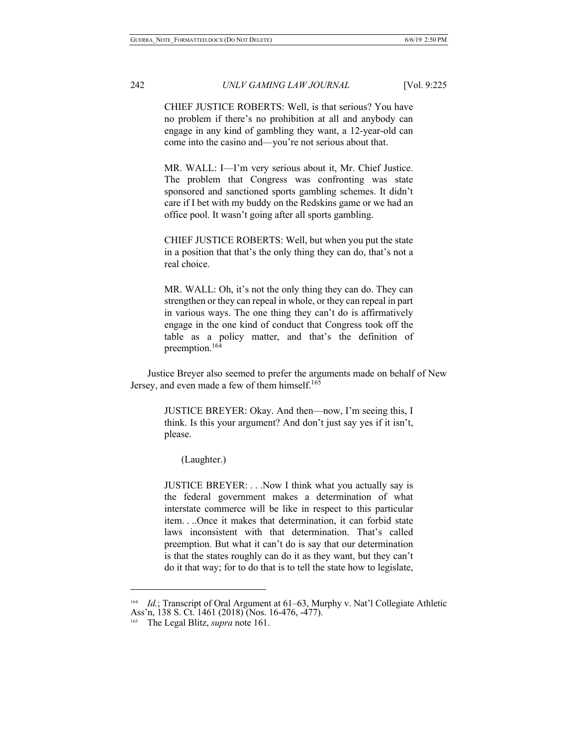CHIEF JUSTICE ROBERTS: Well, is that serious? You have no problem if there's no prohibition at all and anybody can engage in any kind of gambling they want, a 12-year-old can come into the casino and—you're not serious about that.

MR. WALL: I—I'm very serious about it, Mr. Chief Justice. The problem that Congress was confronting was state sponsored and sanctioned sports gambling schemes. It didn't care if I bet with my buddy on the Redskins game or we had an office pool. It wasn't going after all sports gambling.

CHIEF JUSTICE ROBERTS: Well, but when you put the state in a position that that's the only thing they can do, that's not a real choice.

MR. WALL: Oh, it's not the only thing they can do. They can strengthen or they can repeal in whole, or they can repeal in part in various ways. The one thing they can't do is affirmatively engage in the one kind of conduct that Congress took off the table as a policy matter, and that's the definition of preemption.<sup>164</sup>

Justice Breyer also seemed to prefer the arguments made on behalf of New Jersey, and even made a few of them himself.<sup>165</sup>

> JUSTICE BREYER: Okay. And then—now, I'm seeing this, I think. Is this your argument? And don't just say yes if it isn't, please.

(Laughter.)

JUSTICE BREYER: . . .Now I think what you actually say is the federal government makes a determination of what interstate commerce will be like in respect to this particular item. . ..Once it makes that determination, it can forbid state laws inconsistent with that determination. That's called preemption. But what it can't do is say that our determination is that the states roughly can do it as they want, but they can't do it that way; for to do that is to tell the state how to legislate,

<sup>164</sup> *Id.*; Transcript of Oral Argument at 61–63, Murphy v. Nat'l Collegiate Athletic Ass'n, 138 S. Ct. 1461 (2018) (Nos. 16-476, -477).

<sup>165</sup> The Legal Blitz, *supra* note 161.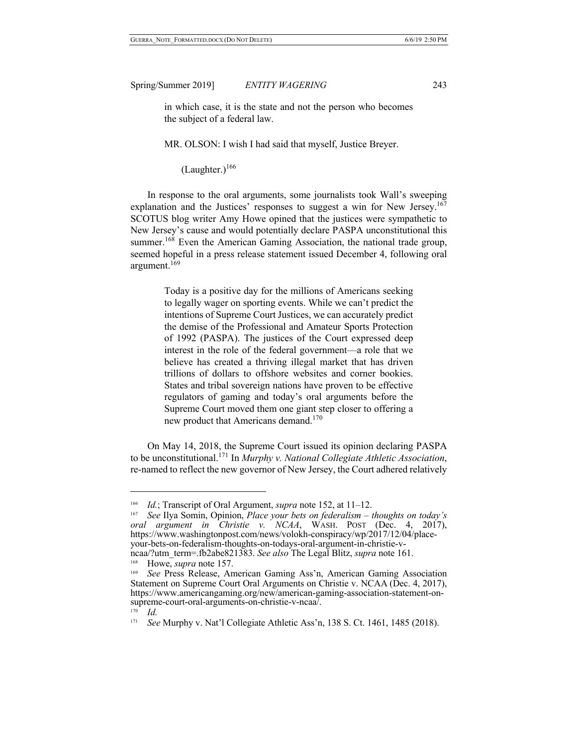in which case, it is the state and not the person who becomes the subject of a federal law.

MR. OLSON: I wish I had said that myself, Justice Breyer.

 $(Laughter.)<sup>166</sup>$ 

In response to the oral arguments, some journalists took Wall's sweeping explanation and the Justices' responses to suggest a win for New Jersey.<sup>167</sup> SCOTUS blog writer Amy Howe opined that the justices were sympathetic to New Jersey's cause and would potentially declare PASPA unconstitutional this summer.<sup>168</sup> Even the American Gaming Association, the national trade group, seemed hopeful in a press release statement issued December 4, following oral argument.<sup>169</sup>

> Today is a positive day for the millions of Americans seeking to legally wager on sporting events. While we can't predict the intentions of Supreme Court Justices, we can accurately predict the demise of the Professional and Amateur Sports Protection of 1992 (PASPA). The justices of the Court expressed deep interest in the role of the federal government—a role that we believe has created a thriving illegal market that has driven trillions of dollars to offshore websites and corner bookies. States and tribal sovereign nations have proven to be effective regulators of gaming and today's oral arguments before the Supreme Court moved them one giant step closer to offering a new product that Americans demand.<sup>170</sup>

On May 14, 2018, the Supreme Court issued its opinion declaring PASPA to be unconstitutional.171 In *Murphy v. National Collegiate Athletic Association*, re-named to reflect the new governor of New Jersey, the Court adhered relatively

<sup>166</sup> *Id.*; Transcript of Oral Argument, *supra* note 152, at 11–12.

<sup>167</sup> *See* Ilya Somin, Opinion, *Place your bets on federalism – thoughts on today's oral argument in Christie v. NCAA*, WASH. POST (Dec. 4, 2017), https://www.washingtonpost.com/news/volokh-conspiracy/wp/2017/12/04/place- your-bets-on-federalism-thoughts-on-todays-oral-argument-in-christie-vncaa/?utm\_term=.fb2abe821383. *See also* The Legal Blitz, *supra* note 161.

<sup>168</sup> Howe, *supra* note 157.

<sup>169</sup> *See* Press Release, American Gaming Ass'n, American Gaming Association Statement on Supreme Court Oral Arguments on Christie v. NCAA (Dec. 4, 2017), https://www.americangaming.org/new/american-gaming-association-statement-on-<br>supreme-court-oral-arguments-on-christie-v-ncaa/.

*Id.* 

<sup>171</sup> *See* Murphy v. Nat'l Collegiate Athletic Ass'n, 138 S. Ct. 1461, 1485 (2018).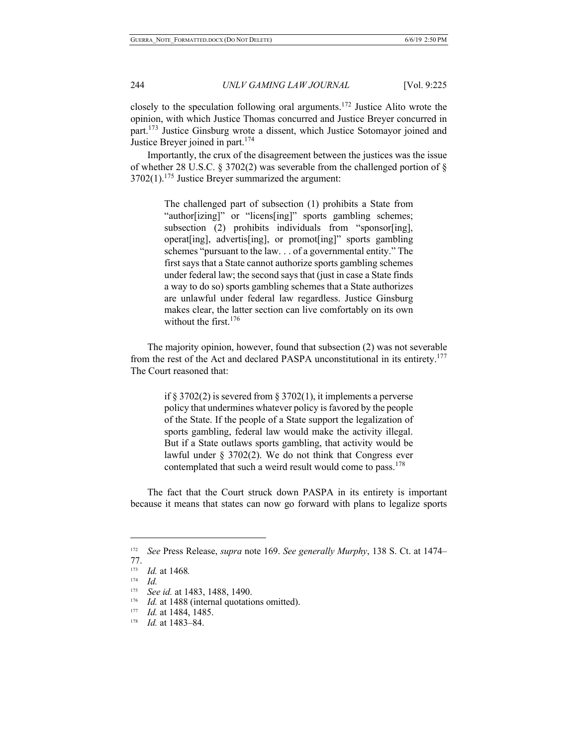closely to the speculation following oral arguments.<sup>172</sup> Justice Alito wrote the opinion, with which Justice Thomas concurred and Justice Breyer concurred in part.<sup>173</sup> Justice Ginsburg wrote a dissent, which Justice Sotomayor joined and Justice Breyer joined in part.<sup>174</sup>

Importantly, the crux of the disagreement between the justices was the issue of whether 28 U.S.C. § 3702(2) was severable from the challenged portion of §  $3702(1).$ <sup>175</sup> Justice Breyer summarized the argument:

> The challenged part of subsection (1) prohibits a State from "author[izing]" or "licens[ing]" sports gambling schemes; subsection (2) prohibits individuals from "sponsor[ing], operat[ing], advertis[ing], or promot[ing]" sports gambling schemes "pursuant to the law. . . of a governmental entity." The first says that a State cannot authorize sports gambling schemes under federal law; the second says that (just in case a State finds a way to do so) sports gambling schemes that a State authorizes are unlawful under federal law regardless. Justice Ginsburg makes clear, the latter section can live comfortably on its own without the first. $176$

The majority opinion, however, found that subsection (2) was not severable from the rest of the Act and declared PASPA unconstitutional in its entirety.<sup>177</sup> The Court reasoned that:

> if  $\S 3702(2)$  is severed from  $\S 3702(1)$ , it implements a perverse policy that undermines whatever policy is favored by the people of the State. If the people of a State support the legalization of sports gambling, federal law would make the activity illegal. But if a State outlaws sports gambling, that activity would be lawful under § 3702(2). We do not think that Congress ever contemplated that such a weird result would come to pass.<sup>178</sup>

The fact that the Court struck down PASPA in its entirety is important because it means that states can now go forward with plans to legalize sports

<sup>172</sup>*See* Press Release, *supra* note 169. *See generally Murphy*, 138 S. Ct. at 1474– 77.

 $\frac{173}{174}$  *Id.* at 1468*.* 

 $\frac{174}{175}$  *Id.* 

See id. at 1483, 1488, 1490.

<sup>176</sup> *Id.* at 1488 (internal quotations omitted). 177 *Id.* at 1484, 1485.

<sup>178</sup> *Id.* at 1483–84.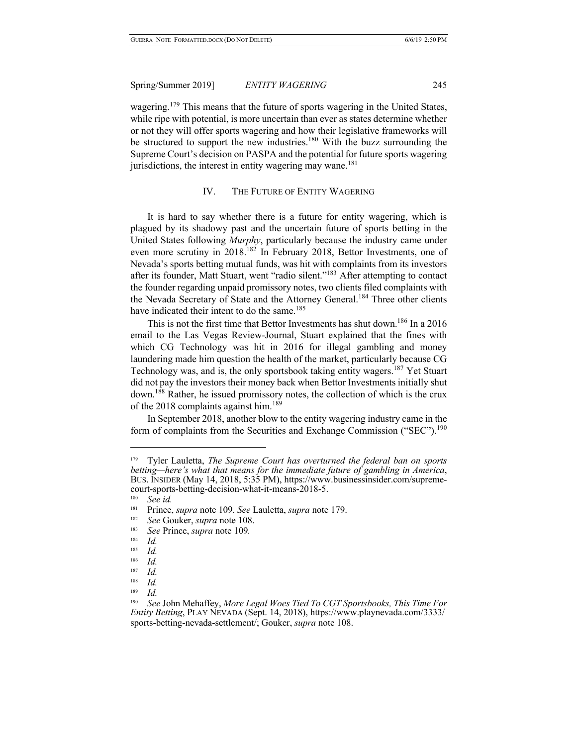wagering.<sup>179</sup> This means that the future of sports wagering in the United States, while ripe with potential, is more uncertain than ever as states determine whether or not they will offer sports wagering and how their legislative frameworks will be structured to support the new industries.<sup>180</sup> With the buzz surrounding the Supreme Court's decision on PASPA and the potential for future sports wagering jurisdictions, the interest in entity wagering may wane.<sup>181</sup>

## IV. THE FUTURE OF ENTITY WAGERING

It is hard to say whether there is a future for entity wagering, which is plagued by its shadowy past and the uncertain future of sports betting in the United States following *Murphy*, particularly because the industry came under even more scrutiny in 2018.<sup>182</sup> In February 2018, Bettor Investments, one of Nevada's sports betting mutual funds, was hit with complaints from its investors after its founder, Matt Stuart, went "radio silent."<sup>183</sup> After attempting to contact the founder regarding unpaid promissory notes, two clients filed complaints with the Nevada Secretary of State and the Attorney General.<sup>184</sup> Three other clients have indicated their intent to do the same.<sup>185</sup>

This is not the first time that Bettor Investments has shut down.<sup>186</sup> In a 2016 email to the Las Vegas Review-Journal, Stuart explained that the fines with which CG Technology was hit in 2016 for illegal gambling and money laundering made him question the health of the market, particularly because CG Technology was, and is, the only sportsbook taking entity wagers.<sup>187</sup> Yet Stuart did not pay the investors their money back when Bettor Investments initially shut down.188 Rather, he issued promissory notes, the collection of which is the crux of the 2018 complaints against him.<sup>189</sup>

In September 2018, another blow to the entity wagering industry came in the form of complaints from the Securities and Exchange Commission ("SEC").<sup>190</sup>

<sup>179</sup> Tyler Lauletta, *The Supreme Court has overturned the federal ban on sports betting—here's what that means for the immediate future of gambling in America*, BUS. INSIDER (May 14, 2018, 5:35 PM), https://www.businessinsider.com/supreme- court-sports-betting-decision-what-it-means-2018-5.

<sup>180</sup> *See id.*

<sup>181</sup> Prince, *supra* note 109. *See* Lauletta, *supra* note 179.

<sup>&</sup>lt;sup>182</sup> *See* Gouker, *supra* note 108.

<sup>183</sup> *See* Prince, *supra* note 109*.*

 $\frac{184}{185}$  *Id.* 

*Id.* 

<sup>186</sup> *Id.*

<sup>187</sup> *Id.*

 $\frac{188}{189}$  *Id.* 

 $\frac{189}{190}$  *Id.* 

<sup>190</sup> *See* John Mehaffey, *More Legal Woes Tied To CGT Sportsbooks, This Time For Entity Betting*, PLAY NEVADA (Sept. 14, 2018), https://www.playnevada.com/3333/ sports-betting-nevada-settlement/; Gouker, *supra* note 108.